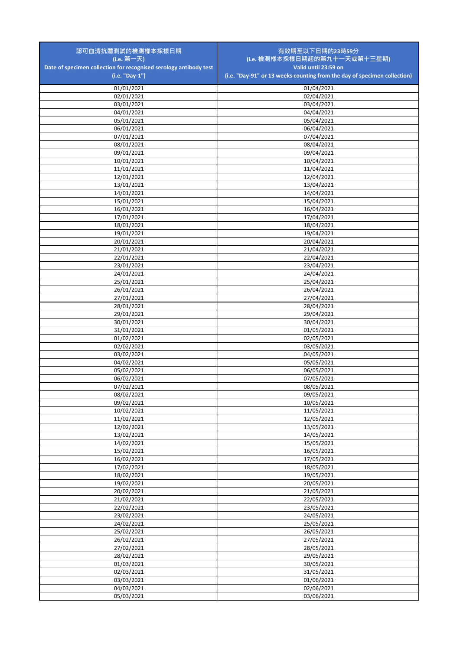| 認可血清抗體測試的檢測樣本採樣日期                                                                   | 有效期至以下日期的23時59分                                                                                  |
|-------------------------------------------------------------------------------------|--------------------------------------------------------------------------------------------------|
| (i.e. 第一天)                                                                          | (i.e. 檢測樣本採樣日期起的第九十一天或第十三星期)                                                                     |
| Date of specimen collection for recognised serology antibody test<br>(i.e. "Day-1") | Valid until 23:59 on<br>(i.e. "Day-91" or 13 weeks counting from the day of specimen collection) |
|                                                                                     |                                                                                                  |
| 01/01/2021<br>02/01/2021                                                            | 01/04/2021                                                                                       |
| 03/01/2021                                                                          | 02/04/2021<br>03/04/2021                                                                         |
| 04/01/2021                                                                          | 04/04/2021                                                                                       |
| 05/01/2021                                                                          | 05/04/2021                                                                                       |
| 06/01/2021                                                                          | 06/04/2021                                                                                       |
| 07/01/2021                                                                          | 07/04/2021                                                                                       |
| 08/01/2021                                                                          | 08/04/2021                                                                                       |
| 09/01/2021                                                                          | 09/04/2021                                                                                       |
| 10/01/2021<br>11/01/2021                                                            | 10/04/2021<br>11/04/2021                                                                         |
| 12/01/2021                                                                          | 12/04/2021                                                                                       |
| 13/01/2021                                                                          | 13/04/2021                                                                                       |
| 14/01/2021                                                                          | 14/04/2021                                                                                       |
| 15/01/2021                                                                          | 15/04/2021                                                                                       |
| 16/01/2021                                                                          | 16/04/2021                                                                                       |
| 17/01/2021                                                                          | 17/04/2021                                                                                       |
| 18/01/2021                                                                          | 18/04/2021                                                                                       |
| 19/01/2021                                                                          | 19/04/2021                                                                                       |
| 20/01/2021<br>21/01/2021                                                            | 20/04/2021<br>21/04/2021                                                                         |
| 22/01/2021                                                                          | 22/04/2021                                                                                       |
| 23/01/2021                                                                          | 23/04/2021                                                                                       |
| 24/01/2021                                                                          | 24/04/2021                                                                                       |
| 25/01/2021                                                                          | 25/04/2021                                                                                       |
| 26/01/2021                                                                          | 26/04/2021                                                                                       |
| 27/01/2021                                                                          | 27/04/2021                                                                                       |
| 28/01/2021                                                                          | 28/04/2021                                                                                       |
| 29/01/2021                                                                          | 29/04/2021                                                                                       |
| 30/01/2021<br>31/01/2021                                                            | 30/04/2021<br>01/05/2021                                                                         |
| 01/02/2021                                                                          | 02/05/2021                                                                                       |
| 02/02/2021                                                                          | 03/05/2021                                                                                       |
| 03/02/2021                                                                          | 04/05/2021                                                                                       |
| 04/02/2021                                                                          | 05/05/2021                                                                                       |
| 05/02/2021                                                                          | 06/05/2021                                                                                       |
| 06/02/2021                                                                          | 07/05/2021                                                                                       |
| 07/02/2021<br>08/02/2021                                                            | 08/05/2021<br>09/05/2021                                                                         |
| 09/02/2021                                                                          | 10/05/2021                                                                                       |
| 10/02/2021                                                                          | 11/05/2021                                                                                       |
| 11/02/2021                                                                          | 12/05/2021                                                                                       |
| 12/02/2021                                                                          | 13/05/2021                                                                                       |
| 13/02/2021                                                                          | 14/05/2021                                                                                       |
| 14/02/2021                                                                          | 15/05/2021                                                                                       |
| 15/02/2021                                                                          | 16/05/2021                                                                                       |
| 16/02/2021<br>17/02/2021                                                            | 17/05/2021<br>18/05/2021                                                                         |
| 18/02/2021                                                                          | 19/05/2021                                                                                       |
| 19/02/2021                                                                          | 20/05/2021                                                                                       |
| 20/02/2021                                                                          | 21/05/2021                                                                                       |
| 21/02/2021                                                                          | 22/05/2021                                                                                       |
| 22/02/2021                                                                          | 23/05/2021                                                                                       |
| 23/02/2021                                                                          | 24/05/2021                                                                                       |
| 24/02/2021                                                                          | 25/05/2021                                                                                       |
| 25/02/2021                                                                          | 26/05/2021                                                                                       |
| 26/02/2021<br>27/02/2021                                                            | 27/05/2021<br>28/05/2021                                                                         |
| 28/02/2021                                                                          | 29/05/2021                                                                                       |
| 01/03/2021                                                                          | 30/05/2021                                                                                       |
| 02/03/2021                                                                          | 31/05/2021                                                                                       |
| 03/03/2021                                                                          | 01/06/2021                                                                                       |
| 04/03/2021                                                                          | 02/06/2021                                                                                       |
| 05/03/2021                                                                          | 03/06/2021                                                                                       |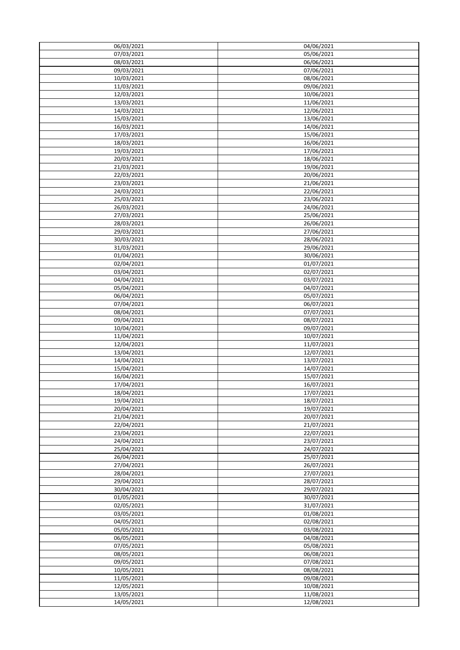| 06/03/2021 | 04/06/2021 |
|------------|------------|
| 07/03/2021 | 05/06/2021 |
| 08/03/2021 | 06/06/2021 |
| 09/03/2021 | 07/06/2021 |
| 10/03/2021 | 08/06/2021 |
|            |            |
| 11/03/2021 | 09/06/2021 |
| 12/03/2021 | 10/06/2021 |
| 13/03/2021 | 11/06/2021 |
| 14/03/2021 | 12/06/2021 |
| 15/03/2021 | 13/06/2021 |
|            |            |
| 16/03/2021 | 14/06/2021 |
| 17/03/2021 | 15/06/2021 |
| 18/03/2021 | 16/06/2021 |
| 19/03/2021 | 17/06/2021 |
| 20/03/2021 | 18/06/2021 |
| 21/03/2021 | 19/06/2021 |
|            |            |
| 22/03/2021 | 20/06/2021 |
| 23/03/2021 | 21/06/2021 |
| 24/03/2021 | 22/06/2021 |
| 25/03/2021 | 23/06/2021 |
|            |            |
| 26/03/2021 | 24/06/2021 |
| 27/03/2021 | 25/06/2021 |
| 28/03/2021 | 26/06/2021 |
| 29/03/2021 | 27/06/2021 |
| 30/03/2021 | 28/06/2021 |
|            |            |
| 31/03/2021 | 29/06/2021 |
| 01/04/2021 | 30/06/2021 |
| 02/04/2021 | 01/07/2021 |
| 03/04/2021 | 02/07/2021 |
| 04/04/2021 | 03/07/2021 |
|            |            |
| 05/04/2021 | 04/07/2021 |
| 06/04/2021 | 05/07/2021 |
| 07/04/2021 | 06/07/2021 |
| 08/04/2021 | 07/07/2021 |
| 09/04/2021 | 08/07/2021 |
|            |            |
| 10/04/2021 | 09/07/2021 |
| 11/04/2021 | 10/07/2021 |
| 12/04/2021 | 11/07/2021 |
| 13/04/2021 | 12/07/2021 |
| 14/04/2021 | 13/07/2021 |
|            |            |
| 15/04/2021 | 14/07/2021 |
| 16/04/2021 | 15/07/2021 |
| 17/04/2021 | 16/07/2021 |
| 18/04/2021 | 17/07/2021 |
| 19/04/2021 | 18/07/2021 |
|            |            |
| 20/04/2021 | 19/07/2021 |
| 21/04/2021 | 20/07/2021 |
| 22/04/2021 | 21/07/2021 |
| 23/04/2021 | 22/07/2021 |
| 24/04/2021 | 23/07/2021 |
|            |            |
| 25/04/2021 | 24/07/2021 |
| 26/04/2021 | 25/07/2021 |
| 27/04/2021 | 26/07/2021 |
| 28/04/2021 | 27/07/2021 |
| 29/04/2021 | 28/07/2021 |
| 30/04/2021 | 29/07/2021 |
|            |            |
| 01/05/2021 | 30/07/2021 |
| 02/05/2021 | 31/07/2021 |
| 03/05/2021 | 01/08/2021 |
| 04/05/2021 | 02/08/2021 |
|            |            |
| 05/05/2021 | 03/08/2021 |
| 06/05/2021 | 04/08/2021 |
| 07/05/2021 | 05/08/2021 |
| 08/05/2021 | 06/08/2021 |
| 09/05/2021 | 07/08/2021 |
|            |            |
| 10/05/2021 | 08/08/2021 |
| 11/05/2021 | 09/08/2021 |
| 12/05/2021 | 10/08/2021 |
| 13/05/2021 | 11/08/2021 |
|            | 12/08/2021 |
| 14/05/2021 |            |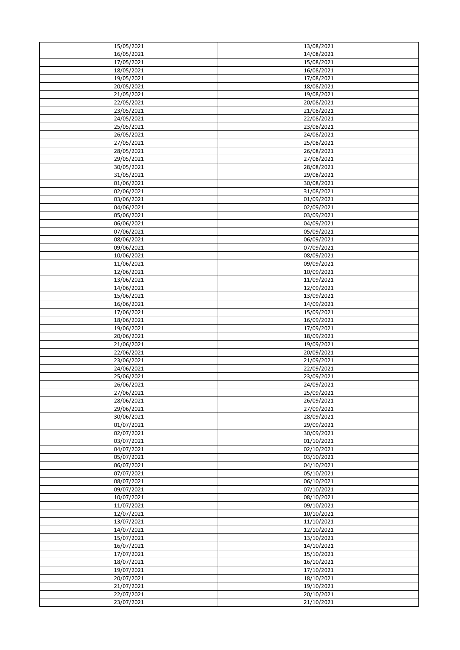| 15/05/2021 | 13/08/2021           |
|------------|----------------------|
| 16/05/2021 | 14/08/2021           |
| 17/05/2021 | 15/08/2021           |
| 18/05/2021 | 16/08/2021           |
| 19/05/2021 | 17/08/2021           |
|            |                      |
| 20/05/2021 | 18/08/2021           |
| 21/05/2021 | 19/08/2021           |
| 22/05/2021 | 20/08/2021           |
| 23/05/2021 | 21/08/2021           |
| 24/05/2021 | 22/08/2021           |
|            | 23/08/2021           |
| 25/05/2021 |                      |
| 26/05/2021 | 24/08/2021           |
| 27/05/2021 | 25/08/2021           |
| 28/05/2021 | 26/08/2021           |
| 29/05/2021 | 27/08/2021           |
| 30/05/2021 | 28/08/2021           |
|            |                      |
| 31/05/2021 | 29/08/2021           |
| 01/06/2021 | 30/08/2021           |
| 02/06/2021 | 31/08/2021           |
| 03/06/2021 | 01/09/2021           |
| 04/06/2021 | 02/09/2021           |
|            |                      |
| 05/06/2021 | 03/09/2021           |
| 06/06/2021 | 04/09/2021           |
| 07/06/2021 | 05/09/2021           |
| 08/06/2021 | 06/09/2021           |
| 09/06/2021 | $\frac{07}{09/2021}$ |
|            |                      |
| 10/06/2021 | 08/09/2021           |
| 11/06/2021 | 09/09/2021           |
| 12/06/2021 | 10/09/2021           |
| 13/06/2021 | 11/09/2021           |
| 14/06/2021 | 12/09/2021           |
| 15/06/2021 | 13/09/2021           |
|            |                      |
| 16/06/2021 | 14/09/2021           |
| 17/06/2021 | 15/09/2021           |
| 18/06/2021 | 16/09/2021           |
| 19/06/2021 | 17/09/2021           |
| 20/06/2021 | 18/09/2021           |
| 21/06/2021 | 19/09/2021           |
|            |                      |
| 22/06/2021 | 20/09/2021           |
| 23/06/2021 | 21/09/2021           |
| 24/06/2021 | 22/09/2021           |
| 25/06/2021 | 23/09/2021           |
| 26/06/2021 | 24/09/2021           |
|            |                      |
| 27/06/2021 | 25/09/2021           |
| 28/06/2021 | 26/09/2021           |
| 29/06/2021 | 27/09/2021           |
| 30/06/2021 | 28/09/2021           |
| 01/07/2021 | 29/09/2021           |
| 02/07/2021 | 30/09/2021           |
|            |                      |
| 03/07/2021 | 01/10/2021           |
| 04/07/2021 | 02/10/2021           |
| 05/07/2021 | 03/10/2021           |
| 06/07/2021 | 04/10/2021           |
| 07/07/2021 | 05/10/2021           |
|            |                      |
| 08/07/2021 | 06/10/2021           |
| 09/07/2021 | 07/10/2021           |
| 10/07/2021 | 08/10/2021           |
| 11/07/2021 | 09/10/2021           |
| 12/07/2021 | 10/10/2021           |
| 13/07/2021 | 11/10/2021           |
|            |                      |
| 14/07/2021 | 12/10/2021           |
| 15/07/2021 | 13/10/2021           |
| 16/07/2021 | 14/10/2021           |
| 17/07/2021 | 15/10/2021           |
| 18/07/2021 | 16/10/2021           |
|            |                      |
| 19/07/2021 | 17/10/2021           |
| 20/07/2021 | 18/10/2021           |
| 21/07/2021 | 19/10/2021           |
| 22/07/2021 | 20/10/2021           |
| 23/07/2021 | 21/10/2021           |
|            |                      |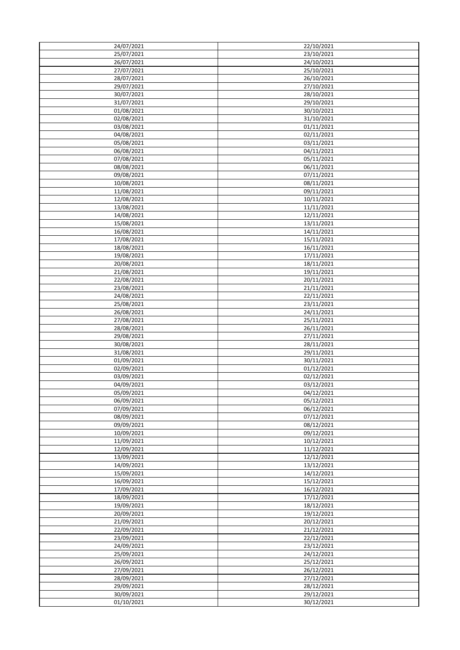| 24/07/2021               | 22/10/2021               |
|--------------------------|--------------------------|
|                          |                          |
| 25/07/2021               | 23/10/2021               |
| 26/07/2021               | 24/10/2021               |
| 27/07/2021               | 25/10/2021               |
| 28/07/2021               | 26/10/2021               |
| 29/07/2021               | 27/10/2021               |
|                          |                          |
| 30/07/2021               | 28/10/2021               |
| 31/07/2021               | 29/10/2021               |
| 01/08/2021               | 30/10/2021               |
| 02/08/2021               | 31/10/2021               |
| 03/08/2021               | 01/11/2021               |
|                          |                          |
| 04/08/2021               | 02/11/2021               |
| 05/08/2021               | 03/11/2021               |
| 06/08/2021               | 04/11/2021               |
| 07/08/2021               | 05/11/2021               |
| 08/08/2021               | 06/11/2021               |
|                          |                          |
| 09/08/2021               | 07/11/2021               |
| 10/08/2021               | 08/11/2021               |
| 11/08/2021               | 09/11/2021               |
| 12/08/2021               | 10/11/2021               |
| 13/08/2021               | 11/11/2021               |
| 14/08/2021               | 12/11/2021               |
|                          |                          |
| 15/08/2021               | 13/11/2021               |
| 16/08/2021               | 14/11/2021               |
| 17/08/2021               | 15/11/2021               |
| 18/08/2021               | 16/11/2021               |
| 19/08/2021               | 17/11/2021               |
|                          |                          |
| 20/08/2021               | 18/11/2021               |
| 21/08/2021               | 19/11/2021               |
| 22/08/2021               | 20/11/2021               |
| 23/08/2021               | 21/11/2021               |
| 24/08/2021               | 22/11/2021               |
|                          |                          |
| 25/08/2021               | $\overline{23}/11/2021$  |
| 26/08/2021               | 24/11/2021               |
| 27/08/2021               | 25/11/2021               |
| 28/08/2021               | 26/11/2021               |
| 29/08/2021               | 27/11/2021               |
| 30/08/2021               | 28/11/2021               |
|                          |                          |
| 31/08/2021               | 29/11/2021               |
| 01/09/2021               | 30/11/2021               |
| 02/09/2021               | 01/12/2021               |
| 03/09/2021               | 02/12/2021               |
| 04/09/2021               | 03/12/2021               |
|                          |                          |
| 05/09/2021               | 04/12/2021               |
| 06/09/2021               | 05/12/2021               |
| 07/09/2021               | 06/12/2021               |
| 08/09/2021               | 07/12/2021               |
| 09/09/2021               | 08/12/2021               |
| 10/09/2021               | 09/12/2021               |
|                          |                          |
| 11/09/2021               | 10/12/2021               |
| 12/09/2021               | 11/12/2021               |
| 13/09/2021               | 12/12/2021               |
| 14/09/2021               | 13/12/2021               |
| 15/09/2021               | 14/12/2021               |
|                          |                          |
| 16/09/2021               | 15/12/2021               |
| 17/09/2021               | 16/12/2021               |
| 18/09/2021               | 17/12/2021               |
| 19/09/2021               | 18/12/2021               |
| 20/09/2021               | 19/12/2021               |
|                          |                          |
| 21/09/2021               | 20/12/2021               |
| 22/09/2021               | 21/12/2021               |
| 23/09/2021               | 22/12/2021               |
| 24/09/2021               | 23/12/2021               |
|                          |                          |
|                          |                          |
| 25/09/2021               | 24/12/2021               |
| 26/09/2021               | 25/12/2021               |
| 27/09/2021               | 26/12/2021               |
| 28/09/2021               | 27/12/2021               |
|                          |                          |
| 29/09/2021               | 28/12/2021               |
| 30/09/2021<br>01/10/2021 | 29/12/2021<br>30/12/2021 |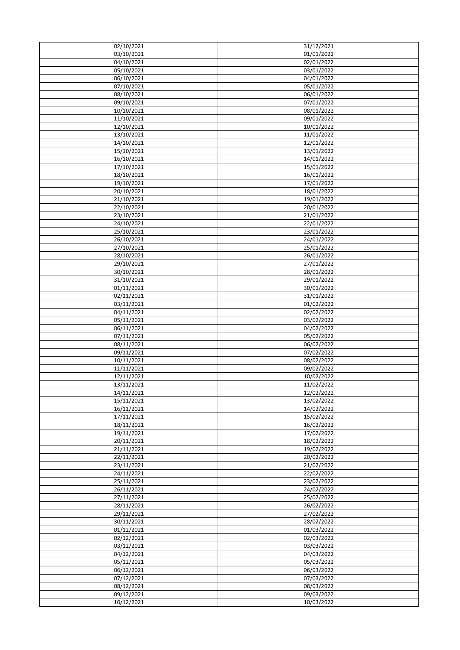| 02/10/2021 | 31/12/2021          |
|------------|---------------------|
|            |                     |
| 03/10/2021 | 01/01/2022          |
| 04/10/2021 | 02/01/2022          |
| 05/10/2021 | 03/01/2022          |
| 06/10/2021 | 04/01/2022          |
| 07/10/2021 | 05/01/2022          |
| 08/10/2021 | 06/01/2022          |
| 09/10/2021 | 07/01/2022          |
| 10/10/2021 | 08/01/2022          |
|            |                     |
| 11/10/2021 | 09/01/2022          |
| 12/10/2021 | 10/01/2022          |
| 13/10/2021 | 11/01/2022          |
| 14/10/2021 | 12/01/2022          |
| 15/10/2021 | 13/01/2022          |
| 16/10/2021 | 14/01/2022          |
| 17/10/2021 | 15/01/2022          |
| 18/10/2021 | 16/01/2022          |
|            |                     |
| 19/10/2021 | 17/01/2022          |
| 20/10/2021 | 18/01/2022          |
| 21/10/2021 | 19/01/2022          |
| 22/10/2021 | 20/01/2022          |
| 23/10/2021 | 21/01/2022          |
| 24/10/2021 | 22/01/2022          |
| 25/10/2021 | 23/01/2022          |
| 26/10/2021 | 24/01/2022          |
| 27/10/2021 | 25/01/2022          |
| 28/10/2021 | 26/01/2022          |
|            |                     |
| 29/10/2021 | 27/01/2022          |
| 30/10/2021 | 28/01/2022          |
| 31/10/2021 | 29/01/2022          |
| 01/11/2021 | 30/01/2022          |
| 02/11/2021 | 31/01/2022          |
| 03/11/2021 | 01/02/2022          |
| 04/11/2021 | 02/02/2022          |
| 05/11/2021 | 03/02/2022          |
| 06/11/2021 | $\sqrt{04}/02/2022$ |
| 07/11/2021 | 05/02/2022          |
| 08/11/2021 | 06/02/2022          |
| 09/11/2021 | 07/02/2022          |
| 10/11/2021 | 08/02/2022          |
| 11/11/2021 | 09/02/2022          |
| 12/11/2021 | 10/02/2022          |
| 13/11/2021 | 11/02/2022          |
| 14/11/2021 | 12/02/2022          |
|            |                     |
| 15/11/2021 | 13/02/2022          |
| 16/11/2021 | 14/02/2022          |
| 17/11/2021 | 15/02/2022          |
| 18/11/2021 | 16/02/2022          |
| 19/11/2021 | 17/02/2022          |
| 20/11/2021 | 18/02/2022          |
| 21/11/2021 | 19/02/2022          |
| 22/11/2021 | 20/02/2022          |
| 23/11/2021 | 21/02/2022          |
|            |                     |
| 24/11/2021 | 22/02/2022          |
| 25/11/2021 | 23/02/2022          |
| 26/11/2021 | 24/02/2022          |
| 27/11/2021 | 25/02/2022          |
|            |                     |
| 28/11/2021 | 26/02/2022          |
| 29/11/2021 | 27/02/2022          |
| 30/11/2021 | 28/02/2022          |
| 01/12/2021 | 01/03/2022          |
| 02/12/2021 | 02/03/2022          |
| 03/12/2021 | 03/03/2022          |
| 04/12/2021 | 04/03/2022          |
| 05/12/2021 | 05/03/2022          |
| 06/12/2021 | 06/03/2022          |
| 07/12/2021 | 07/03/2022          |
| 08/12/2021 | 08/03/2022          |
| 09/12/2021 | 09/03/2022          |